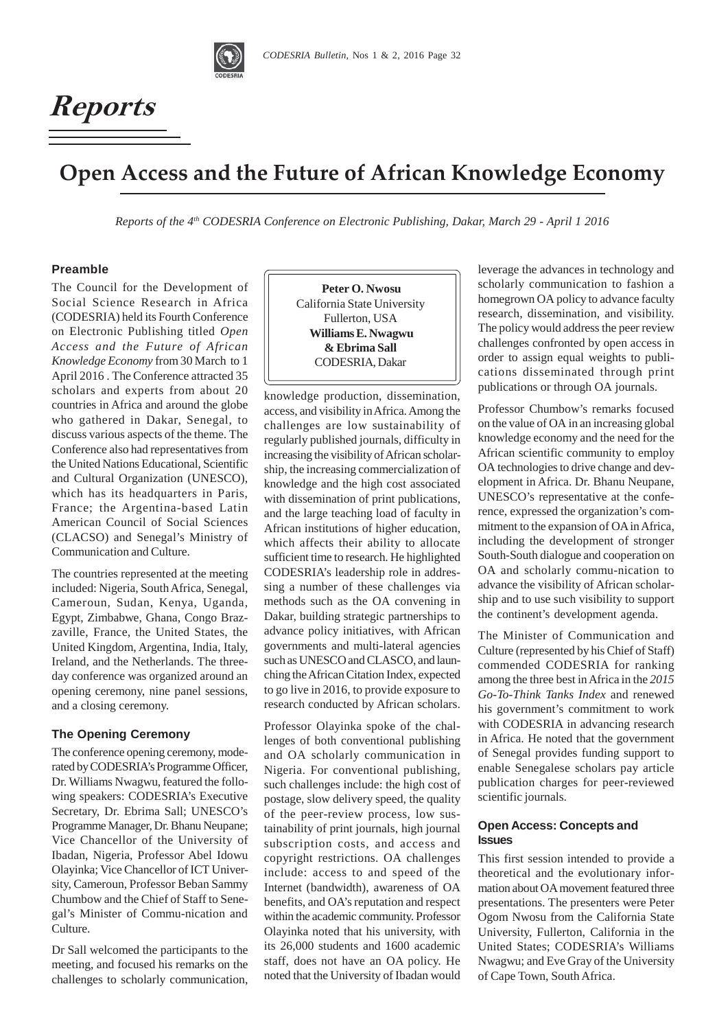

# $\emph{Reports}$

## **Open Access and the Future of African Knowledge Economy**

*Reports of the 4th CODESRIA Conference on Electronic Publishing, Dakar, March 29 - April 1 2016*

## **Preamble**

The Council for the Development of Social Science Research in Africa (CODESRIA) held its Fourth Conference on Electronic Publishing titled *Open Access and the Future of African Knowledge Economy* from 30 March to 1 April 2016 . The Conference attracted 35 scholars and experts from about 20 countries in Africa and around the globe who gathered in Dakar, Senegal, to discuss various aspects of the theme. The Conference also had representatives from the United Nations Educational, Scientific and Cultural Organization (UNESCO), which has its headquarters in Paris, France; the Argentina-based Latin American Council of Social Sciences (CLACSO) and Senegal's Ministry of Communication and Culture.

The countries represented at the meeting included: Nigeria, South Africa, Senegal, Cameroun, Sudan, Kenya, Uganda, Egypt, Zimbabwe, Ghana, Congo Brazzaville, France, the United States, the United Kingdom, Argentina, India, Italy, Ireland, and the Netherlands. The threeday conference was organized around an opening ceremony, nine panel sessions, and a closing ceremony.

## **The Opening Ceremony**

The conference opening ceremony, moderated by CODESRIA's Programme Officer, Dr. Williams Nwagwu, featured the following speakers: CODESRIA's Executive Secretary, Dr. Ebrima Sall; UNESCO's Programme Manager, Dr. Bhanu Neupane; Vice Chancellor of the University of Ibadan, Nigeria, Professor Abel Idowu Olayinka; Vice Chancellor of ICT University, Cameroun, Professor Beban Sammy Chumbow and the Chief of Staff to Senegal's Minister of Commu-nication and Culture.

Dr Sall welcomed the participants to the meeting, and focused his remarks on the challenges to scholarly communication,

 **Peter O. Nwosu** California State University Fullerton, USA  **Williams E. Nwagwu & Ebrima Sall** CODESRIA, Dakar

knowledge production, dissemination, access, and visibility in Africa. Among the challenges are low sustainability of regularly published journals, difficulty in increasing the visibility of African scholarship, the increasing commercialization of knowledge and the high cost associated with dissemination of print publications, and the large teaching load of faculty in African institutions of higher education, which affects their ability to allocate sufficient time to research. He highlighted CODESRIA's leadership role in addressing a number of these challenges via methods such as the OA convening in Dakar, building strategic partnerships to advance policy initiatives, with African governments and multi-lateral agencies such as UNESCO and CLASCO, and launching the African Citation Index, expected to go live in 2016, to provide exposure to research conducted by African scholars.

Professor Olayinka spoke of the challenges of both conventional publishing and OA scholarly communication in Nigeria. For conventional publishing, such challenges include: the high cost of postage, slow delivery speed, the quality of the peer-review process, low sustainability of print journals, high journal subscription costs, and access and copyright restrictions. OA challenges include: access to and speed of the Internet (bandwidth), awareness of OA benefits, and OA's reputation and respect within the academic community. Professor Olayinka noted that his university, with its 26,000 students and 1600 academic staff, does not have an OA policy. He noted that the University of Ibadan would

leverage the advances in technology and scholarly communication to fashion a homegrown OA policy to advance faculty research, dissemination, and visibility. The policy would address the peer review challenges confronted by open access in order to assign equal weights to publications disseminated through print publications or through OA journals.

Professor Chumbow's remarks focused on the value of OA in an increasing global knowledge economy and the need for the African scientific community to employ OA technologies to drive change and development in Africa. Dr. Bhanu Neupane, UNESCO's representative at the conference, expressed the organization's commitment to the expansion of OA in Africa, including the development of stronger South-South dialogue and cooperation on OA and scholarly commu-nication to advance the visibility of African scholarship and to use such visibility to support the continent's development agenda.

The Minister of Communication and Culture (represented by his Chief of Staff) commended CODESRIA for ranking among the three best in Africa in the *2015 Go-To-Think Tanks Index* and renewed his government's commitment to work with CODESRIA in advancing research in Africa. He noted that the government of Senegal provides funding support to enable Senegalese scholars pay article publication charges for peer-reviewed scientific journals.

## **Open Access: Concepts and Issues**

This first session intended to provide a theoretical and the evolutionary information about OA movement featured three presentations. The presenters were Peter Ogom Nwosu from the California State University, Fullerton, California in the United States; CODESRIA's Williams Nwagwu; and Eve Gray of the University of Cape Town, South Africa.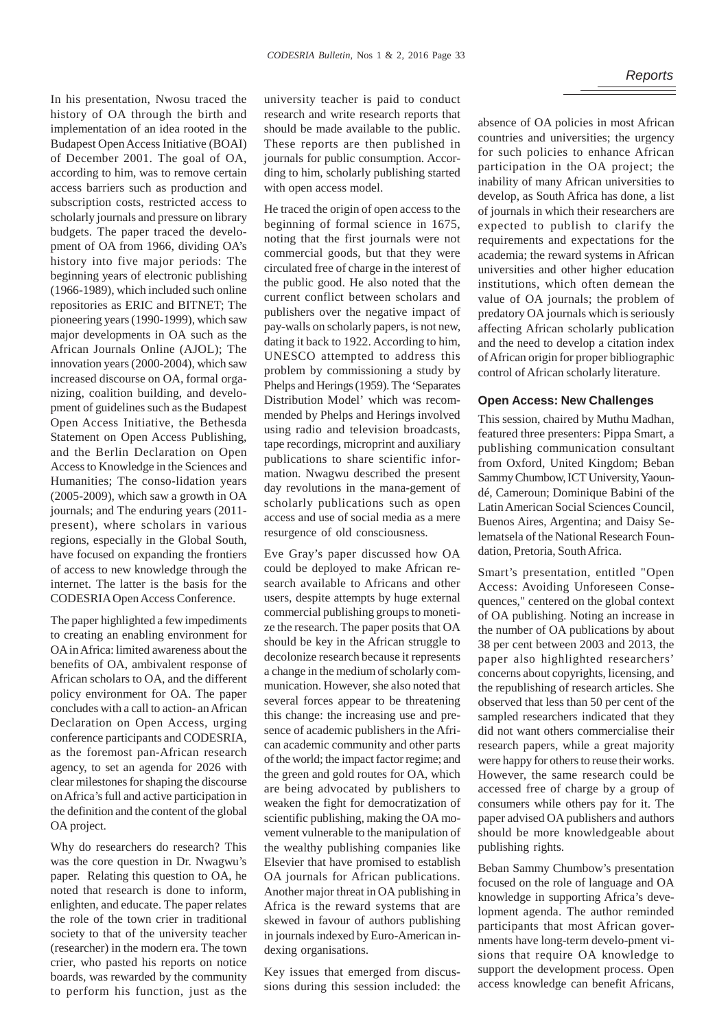In his presentation, Nwosu traced the history of OA through the birth and implementation of an idea rooted in the Budapest Open Access Initiative (BOAI) of December 2001. The goal of OA, according to him, was to remove certain access barriers such as production and subscription costs, restricted access to scholarly journals and pressure on library budgets. The paper traced the development of OA from 1966, dividing OA's history into five major periods: The beginning years of electronic publishing (1966-1989), which included such online repositories as ERIC and BITNET; The pioneering years (1990-1999), which saw major developments in OA such as the African Journals Online (AJOL); The innovation years (2000-2004), which saw increased discourse on OA, formal organizing, coalition building, and development of guidelines such as the Budapest Open Access Initiative, the Bethesda Statement on Open Access Publishing, and the Berlin Declaration on Open Access to Knowledge in the Sciences and Humanities; The conso-lidation years (2005-2009), which saw a growth in OA journals; and The enduring years (2011 present), where scholars in various regions, especially in the Global South, have focused on expanding the frontiers of access to new knowledge through the internet. The latter is the basis for the CODESRIA Open Access Conference.

The paper highlighted a few impediments to creating an enabling environment for OA in Africa: limited awareness about the benefits of OA, ambivalent response of African scholars to OA, and the different policy environment for OA. The paper concludes with a call to action- an African Declaration on Open Access, urging conference participants and CODESRIA, as the foremost pan-African research agency, to set an agenda for 2026 with clear milestones for shaping the discourse on Africa's full and active participation in the definition and the content of the global OA project.

Why do researchers do research? This was the core question in Dr. Nwagwu's paper. Relating this question to OA, he noted that research is done to inform, enlighten, and educate. The paper relates the role of the town crier in traditional society to that of the university teacher (researcher) in the modern era. The town crier, who pasted his reports on notice boards, was rewarded by the community to perform his function, just as the

university teacher is paid to conduct research and write research reports that should be made available to the public. These reports are then published in journals for public consumption. According to him, scholarly publishing started with open access model.

He traced the origin of open access to the beginning of formal science in 1675, noting that the first journals were not commercial goods, but that they were circulated free of charge in the interest of the public good. He also noted that the current conflict between scholars and publishers over the negative impact of pay-walls on scholarly papers, is not new, dating it back to 1922. According to him, UNESCO attempted to address this problem by commissioning a study by Phelps and Herings (1959). The 'Separates Distribution Model' which was recommended by Phelps and Herings involved using radio and television broadcasts, tape recordings, microprint and auxiliary publications to share scientific information. Nwagwu described the present day revolutions in the mana-gement of scholarly publications such as open access and use of social media as a mere resurgence of old consciousness.

Eve Gray's paper discussed how OA could be deployed to make African research available to Africans and other users, despite attempts by huge external commercial publishing groups to monetize the research. The paper posits that OA should be key in the African struggle to decolonize research because it represents a change in the medium of scholarly communication. However, she also noted that several forces appear to be threatening this change: the increasing use and presence of academic publishers in the African academic community and other parts of the world; the impact factor regime; and the green and gold routes for OA, which are being advocated by publishers to weaken the fight for democratization of scientific publishing, making the OA movement vulnerable to the manipulation of the wealthy publishing companies like Elsevier that have promised to establish OA journals for African publications. Another major threat in OA publishing in Africa is the reward systems that are skewed in favour of authors publishing in journals indexed by Euro-American indexing organisations.

Key issues that emerged from discussions during this session included: the absence of OA policies in most African countries and universities; the urgency for such policies to enhance African participation in the OA project; the inability of many African universities to develop, as South Africa has done, a list of journals in which their researchers are expected to publish to clarify the requirements and expectations for the academia; the reward systems in African universities and other higher education institutions, which often demean the value of OA journals; the problem of predatory OA journals which is seriously affecting African scholarly publication and the need to develop a citation index of African origin for proper bibliographic control of African scholarly literature.

## **Open Access: New Challenges**

This session, chaired by Muthu Madhan, featured three presenters: Pippa Smart, a publishing communication consultant from Oxford, United Kingdom; Beban Sammy Chumbow, ICT University, Yaoundé, Cameroun; Dominique Babini of the Latin American Social Sciences Council, Buenos Aires, Argentina; and Daisy Selematsela of the National Research Foundation, Pretoria, South Africa.

Smart's presentation, entitled "Open Access: Avoiding Unforeseen Consequences," centered on the global context of OA publishing. Noting an increase in the number of OA publications by about 38 per cent between 2003 and 2013, the paper also highlighted researchers' concerns about copyrights, licensing, and the republishing of research articles. She observed that less than 50 per cent of the sampled researchers indicated that they did not want others commercialise their research papers, while a great majority were happy for others to reuse their works. However, the same research could be accessed free of charge by a group of consumers while others pay for it. The paper advised OA publishers and authors should be more knowledgeable about publishing rights.

Beban Sammy Chumbow's presentation focused on the role of language and OA knowledge in supporting Africa's development agenda. The author reminded participants that most African governments have long-term develo-pment visions that require OA knowledge to support the development process. Open access knowledge can benefit Africans,

## *Reports*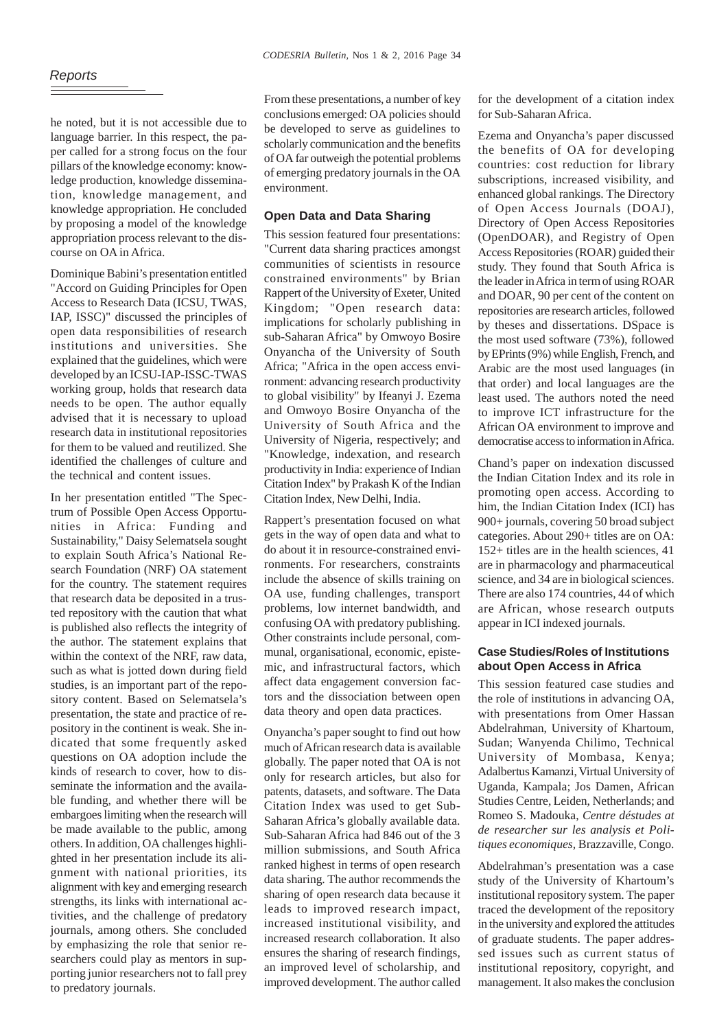he noted, but it is not accessible due to language barrier. In this respect, the paper called for a strong focus on the four pillars of the knowledge economy: knowledge production, knowledge dissemination, knowledge management, and knowledge appropriation. He concluded by proposing a model of the knowledge appropriation process relevant to the discourse on OA in Africa.

Dominique Babini's presentation entitled "Accord on Guiding Principles for Open Access to Research Data (ICSU, TWAS, IAP, ISSC)" discussed the principles of open data responsibilities of research institutions and universities. She explained that the guidelines, which were developed by an ICSU-IAP-ISSC-TWAS working group, holds that research data needs to be open. The author equally advised that it is necessary to upload research data in institutional repositories for them to be valued and reutilized. She identified the challenges of culture and the technical and content issues.

In her presentation entitled "The Spectrum of Possible Open Access Opportunities in Africa: Funding and Sustainability," Daisy Selematsela sought to explain South Africa's National Research Foundation (NRF) OA statement for the country. The statement requires that research data be deposited in a trusted repository with the caution that what is published also reflects the integrity of the author. The statement explains that within the context of the NRF, raw data, such as what is jotted down during field studies, is an important part of the repository content. Based on Selematsela's presentation, the state and practice of repository in the continent is weak. She indicated that some frequently asked questions on OA adoption include the kinds of research to cover, how to disseminate the information and the available funding, and whether there will be embargoes limiting when the research will be made available to the public, among others. In addition, OA challenges highlighted in her presentation include its alignment with national priorities, its alignment with key and emerging research strengths, its links with international activities, and the challenge of predatory journals, among others. She concluded by emphasizing the role that senior researchers could play as mentors in supporting junior researchers not to fall prey to predatory journals.

From these presentations, a number of key conclusions emerged: OA policies should be developed to serve as guidelines to scholarly communication and the benefits of OA far outweigh the potential problems of emerging predatory journals in the OA environment.

## **Open Data and Data Sharing**

This session featured four presentations: "Current data sharing practices amongst communities of scientists in resource constrained environments" by Brian Rappert of the University of Exeter, United Kingdom; "Open research data: implications for scholarly publishing in sub-Saharan Africa" by Omwoyo Bosire Onyancha of the University of South Africa; "Africa in the open access environment: advancing research productivity to global visibility" by Ifeanyi J. Ezema and Omwoyo Bosire Onyancha of the University of South Africa and the University of Nigeria, respectively; and "Knowledge, indexation, and research productivity in India: experience of Indian Citation Index" by Prakash K of the Indian Citation Index, New Delhi, India.

Rappert's presentation focused on what gets in the way of open data and what to do about it in resource-constrained environments. For researchers, constraints include the absence of skills training on OA use, funding challenges, transport problems, low internet bandwidth, and confusing OA with predatory publishing. Other constraints include personal, communal, organisational, economic, epistemic, and infrastructural factors, which affect data engagement conversion factors and the dissociation between open data theory and open data practices.

Onyancha's paper sought to find out how much of African research data is available globally. The paper noted that OA is not only for research articles, but also for patents, datasets, and software. The Data Citation Index was used to get Sub-Saharan Africa's globally available data. Sub-Saharan Africa had 846 out of the 3 million submissions, and South Africa ranked highest in terms of open research data sharing. The author recommends the sharing of open research data because it leads to improved research impact, increased institutional visibility, and increased research collaboration. It also ensures the sharing of research findings, an improved level of scholarship, and improved development. The author called

for the development of a citation index for Sub-Saharan Africa.

Ezema and Onyancha's paper discussed the benefits of OA for developing countries: cost reduction for library subscriptions, increased visibility, and enhanced global rankings. The Directory of Open Access Journals (DOAJ), Directory of Open Access Repositories (OpenDOAR), and Registry of Open Access Repositories (ROAR) guided their study. They found that South Africa is the leader in Africa in term of using ROAR and DOAR, 90 per cent of the content on repositories are research articles, followed by theses and dissertations. DSpace is the most used software (73%), followed by EPrints (9%) while English, French, and Arabic are the most used languages (in that order) and local languages are the least used. The authors noted the need to improve ICT infrastructure for the African OA environment to improve and democratise access to information in Africa.

Chand's paper on indexation discussed the Indian Citation Index and its role in promoting open access. According to him, the Indian Citation Index (ICI) has 900+ journals, covering 50 broad subject categories. About 290+ titles are on OA: 152+ titles are in the health sciences, 41 are in pharmacology and pharmaceutical science, and 34 are in biological sciences. There are also 174 countries, 44 of which are African, whose research outputs appear in ICI indexed journals.

## **Case Studies/Roles of Institutions about Open Access in Africa**

This session featured case studies and the role of institutions in advancing OA, with presentations from Omer Hassan Abdelrahman, University of Khartoum, Sudan; Wanyenda Chilimo, Technical University of Mombasa, Kenya; Adalbertus Kamanzi, Virtual University of Uganda, Kampala; Jos Damen, African Studies Centre, Leiden, Netherlands; and Romeo S. Madouka, *Centre déstudes at de researcher sur les analysis et Politiques economiques,* Brazzaville, Congo.

Abdelrahman's presentation was a case study of the University of Khartoum's institutional repository system. The paper traced the development of the repository in the university and explored the attitudes of graduate students. The paper addressed issues such as current status of institutional repository, copyright, and management. It also makes the conclusion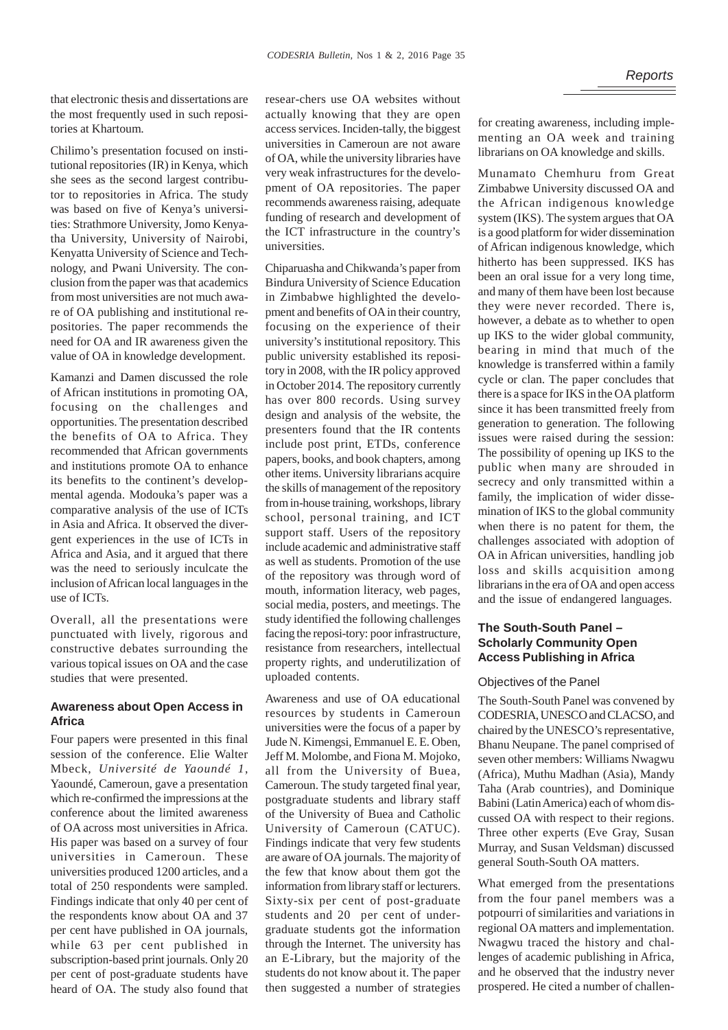that electronic thesis and dissertations are the most frequently used in such repositories at Khartoum.

Chilimo's presentation focused on institutional repositories (IR) in Kenya, which she sees as the second largest contributor to repositories in Africa. The study was based on five of Kenya's universities: Strathmore University, Jomo Kenyatha University, University of Nairobi, Kenyatta University of Science and Technology, and Pwani University. The conclusion from the paper was that academics from most universities are not much aware of OA publishing and institutional repositories. The paper recommends the need for OA and IR awareness given the value of OA in knowledge development.

Kamanzi and Damen discussed the role of African institutions in promoting OA, focusing on the challenges and opportunities. The presentation described the benefits of OA to Africa. They recommended that African governments and institutions promote OA to enhance its benefits to the continent's developmental agenda. Modouka's paper was a comparative analysis of the use of ICTs in Asia and Africa. It observed the divergent experiences in the use of ICTs in Africa and Asia, and it argued that there was the need to seriously inculcate the inclusion of African local languages in the use of ICTs.

Overall, all the presentations were punctuated with lively, rigorous and constructive debates surrounding the various topical issues on OA and the case studies that were presented.

## **Awareness about Open Access in Africa**

Four papers were presented in this final session of the conference. Elie Walter Mbeck, *Université de Yaoundé 1*, Yaoundé, Cameroun, gave a presentation which re-confirmed the impressions at the conference about the limited awareness of OA across most universities in Africa. His paper was based on a survey of four universities in Cameroun. These universities produced 1200 articles, and a total of 250 respondents were sampled. Findings indicate that only 40 per cent of the respondents know about OA and 37 per cent have published in OA journals, while 63 per cent published in subscription-based print journals. Only 20 per cent of post-graduate students have heard of OA. The study also found that

resear-chers use OA websites without actually knowing that they are open access services. Inciden-tally, the biggest universities in Cameroun are not aware of OA, while the university libraries have very weak infrastructures for the development of OA repositories. The paper recommends awareness raising, adequate funding of research and development of the ICT infrastructure in the country's universities.

Chiparuasha and Chikwanda's paper from Bindura University of Science Education in Zimbabwe highlighted the development and benefits of OA in their country, focusing on the experience of their university's institutional repository. This public university established its repository in 2008, with the IR policy approved in October 2014. The repository currently has over 800 records. Using survey design and analysis of the website, the presenters found that the IR contents include post print, ETDs, conference papers, books, and book chapters, among other items. University librarians acquire the skills of management of the repository from in-house training, workshops, library school, personal training, and ICT support staff. Users of the repository include academic and administrative staff as well as students. Promotion of the use of the repository was through word of mouth, information literacy, web pages, social media, posters, and meetings. The study identified the following challenges facing the reposi-tory: poor infrastructure, resistance from researchers, intellectual property rights, and underutilization of uploaded contents.

Awareness and use of OA educational resources by students in Cameroun universities were the focus of a paper by Jude N. Kimengsi, Emmanuel E. E. Oben, Jeff M. Molombe, and Fiona M. Mojoko, all from the University of Buea, Cameroun. The study targeted final year, postgraduate students and library staff of the University of Buea and Catholic University of Cameroun (CATUC). Findings indicate that very few students are aware of OA journals. The majority of the few that know about them got the information from library staff or lecturers. Sixty-six per cent of post-graduate students and 20 per cent of undergraduate students got the information through the Internet. The university has an E-Library, but the majority of the students do not know about it. The paper then suggested a number of strategies

for creating awareness, including implementing an OA week and training librarians on OA knowledge and skills.

Munamato Chemhuru from Great Zimbabwe University discussed OA and the African indigenous knowledge system (IKS). The system argues that OA is a good platform for wider dissemination of African indigenous knowledge, which hitherto has been suppressed. IKS has been an oral issue for a very long time, and many of them have been lost because they were never recorded. There is, however, a debate as to whether to open up IKS to the wider global community, bearing in mind that much of the knowledge is transferred within a family cycle or clan. The paper concludes that there is a space for IKS in the OA platform since it has been transmitted freely from generation to generation. The following issues were raised during the session: The possibility of opening up IKS to the public when many are shrouded in secrecy and only transmitted within a family, the implication of wider dissemination of IKS to the global community when there is no patent for them, the challenges associated with adoption of OA in African universities, handling job loss and skills acquisition among librarians in the era of OA and open access and the issue of endangered languages.

## **The South-South Panel – Scholarly Community Open Access Publishing in Africa**

#### Objectives of the Panel

The South-South Panel was convened by CODESRIA, UNESCO and CLACSO, and chaired by the UNESCO's representative, Bhanu Neupane. The panel comprised of seven other members: Williams Nwagwu (Africa), Muthu Madhan (Asia), Mandy Taha (Arab countries), and Dominique Babini (Latin America) each of whom discussed OA with respect to their regions. Three other experts (Eve Gray, Susan Murray, and Susan Veldsman) discussed general South-South OA matters.

What emerged from the presentations from the four panel members was a potpourri of similarities and variations in regional OA matters and implementation. Nwagwu traced the history and challenges of academic publishing in Africa, and he observed that the industry never prospered. He cited a number of challen-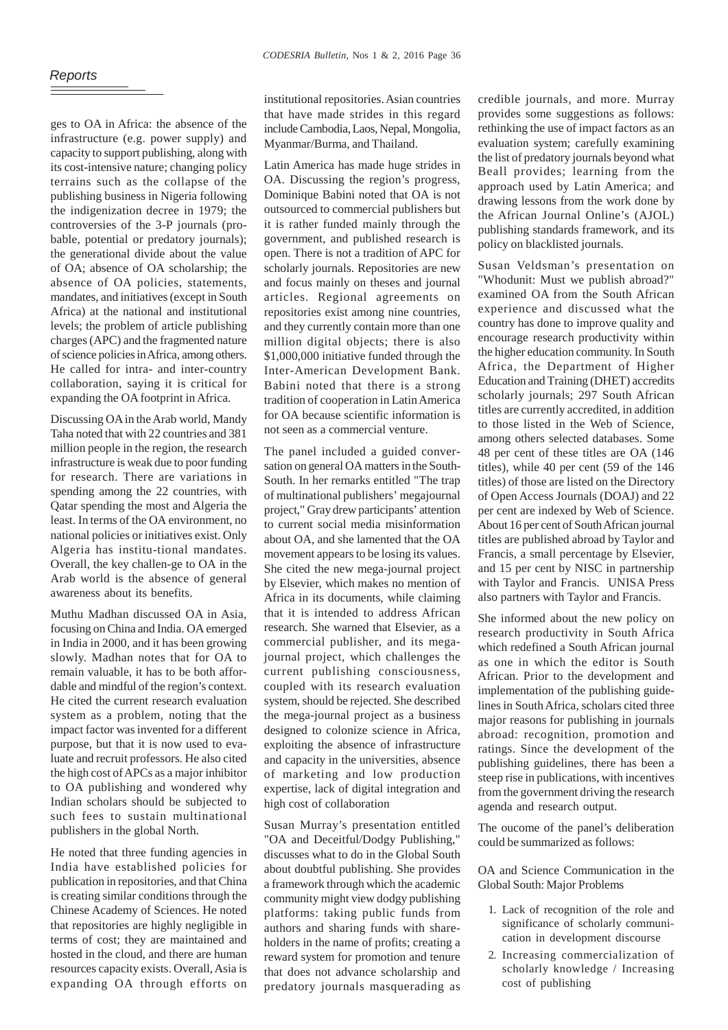ges to OA in Africa: the absence of the infrastructure (e.g. power supply) and capacity to support publishing, along with its cost-intensive nature; changing policy terrains such as the collapse of the publishing business in Nigeria following the indigenization decree in 1979; the controversies of the 3-P journals (probable, potential or predatory journals); the generational divide about the value of OA; absence of OA scholarship; the absence of OA policies, statements, mandates, and initiatives (except in South Africa) at the national and institutional levels; the problem of article publishing charges (APC) and the fragmented nature of science policies in Africa, among others. He called for intra- and inter-country collaboration, saying it is critical for expanding the OA footprint in Africa.

Discussing OA in the Arab world, Mandy Taha noted that with 22 countries and 381 million people in the region, the research infrastructure is weak due to poor funding for research. There are variations in spending among the 22 countries, with Qatar spending the most and Algeria the least. In terms of the OA environment, no national policies or initiatives exist. Only Algeria has institu-tional mandates. Overall, the key challen-ge to OA in the Arab world is the absence of general awareness about its benefits.

Muthu Madhan discussed OA in Asia, focusing on China and India. OA emerged in India in 2000, and it has been growing slowly. Madhan notes that for OA to remain valuable, it has to be both affordable and mindful of the region's context. He cited the current research evaluation system as a problem, noting that the impact factor was invented for a different purpose, but that it is now used to evaluate and recruit professors. He also cited the high cost of APCs as a major inhibitor to OA publishing and wondered why Indian scholars should be subjected to such fees to sustain multinational publishers in the global North.

He noted that three funding agencies in India have established policies for publication in repositories, and that China is creating similar conditions through the Chinese Academy of Sciences. He noted that repositories are highly negligible in terms of cost; they are maintained and hosted in the cloud, and there are human resources capacity exists. Overall, Asia is expanding OA through efforts on

institutional repositories. Asian countries that have made strides in this regard include Cambodia, Laos, Nepal, Mongolia, Myanmar/Burma, and Thailand.

Latin America has made huge strides in OA. Discussing the region's progress, Dominique Babini noted that OA is not outsourced to commercial publishers but it is rather funded mainly through the government, and published research is open. There is not a tradition of APC for scholarly journals. Repositories are new and focus mainly on theses and journal articles. Regional agreements on repositories exist among nine countries, and they currently contain more than one million digital objects; there is also \$1,000,000 initiative funded through the Inter-American Development Bank. Babini noted that there is a strong tradition of cooperation in Latin America for OA because scientific information is not seen as a commercial venture.

The panel included a guided conversation on general OA matters in the South-South. In her remarks entitled "The trap of multinational publishers' megajournal project," Gray drew participants' attention to current social media misinformation about OA, and she lamented that the OA movement appears to be losing its values. She cited the new mega-journal project by Elsevier, which makes no mention of Africa in its documents, while claiming that it is intended to address African research. She warned that Elsevier, as a commercial publisher, and its megajournal project, which challenges the current publishing consciousness, coupled with its research evaluation system, should be rejected. She described the mega-journal project as a business designed to colonize science in Africa, exploiting the absence of infrastructure and capacity in the universities, absence of marketing and low production expertise, lack of digital integration and high cost of collaboration

Susan Murray's presentation entitled "OA and Deceitful/Dodgy Publishing," discusses what to do in the Global South about doubtful publishing. She provides a framework through which the academic community might view dodgy publishing platforms: taking public funds from authors and sharing funds with shareholders in the name of profits; creating a reward system for promotion and tenure that does not advance scholarship and predatory journals masquerading as credible journals, and more. Murray provides some suggestions as follows: rethinking the use of impact factors as an evaluation system; carefully examining the list of predatory journals beyond what Beall provides; learning from the approach used by Latin America; and drawing lessons from the work done by the African Journal Online's (AJOL) publishing standards framework, and its policy on blacklisted journals.

Susan Veldsman's presentation on "Whodunit: Must we publish abroad?" examined OA from the South African experience and discussed what the country has done to improve quality and encourage research productivity within the higher education community. In South Africa, the Department of Higher Education and Training (DHET) accredits scholarly journals; 297 South African titles are currently accredited, in addition to those listed in the Web of Science, among others selected databases. Some 48 per cent of these titles are OA (146 titles), while 40 per cent (59 of the 146 titles) of those are listed on the Directory of Open Access Journals (DOAJ) and 22 per cent are indexed by Web of Science. About 16 per cent of South African journal titles are published abroad by Taylor and Francis, a small percentage by Elsevier, and 15 per cent by NISC in partnership with Taylor and Francis. UNISA Press also partners with Taylor and Francis.

She informed about the new policy on research productivity in South Africa which redefined a South African journal as one in which the editor is South African. Prior to the development and implementation of the publishing guidelines in South Africa, scholars cited three major reasons for publishing in journals abroad: recognition, promotion and ratings. Since the development of the publishing guidelines, there has been a steep rise in publications, with incentives from the government driving the research agenda and research output.

The oucome of the panel's deliberation could be summarized as follows:

OA and Science Communication in the Global South: Major Problems

- 1. Lack of recognition of the role and significance of scholarly communication in development discourse
- 2. Increasing commercialization of scholarly knowledge / Increasing cost of publishing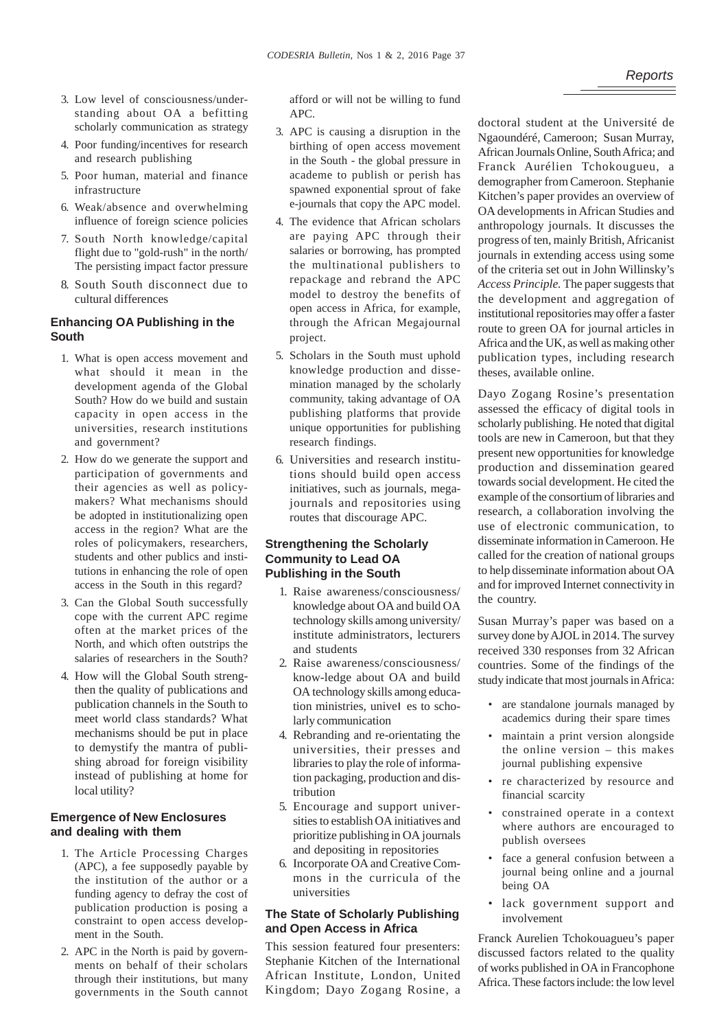- 3. Low level of consciousness/understanding about OA a befitting scholarly communication as strategy
- 4. Poor funding/incentives for research and research publishing
- 5. Poor human, material and finance infrastructure
- 6. Weak/absence and overwhelming influence of foreign science policies
- 7. South North knowledge/capital flight due to "gold-rush" in the north/ The persisting impact factor pressure
- 8. South South disconnect due to cultural differences

## **Enhancing OA Publishing in the South**

- 1. What is open access movement and what should it mean in the development agenda of the Global South? How do we build and sustain capacity in open access in the universities, research institutions and government?
- 2. How do we generate the support and participation of governments and their agencies as well as policymakers? What mechanisms should be adopted in institutionalizing open access in the region? What are the roles of policymakers, researchers, students and other publics and institutions in enhancing the role of open access in the South in this regard?
- 3. Can the Global South successfully cope with the current APC regime often at the market prices of the North, and which often outstrips the salaries of researchers in the South?
- 4. How will the Global South strengthen the quality of publications and publication channels in the South to meet world class standards? What mechanisms should be put in place to demystify the mantra of publishing abroad for foreign visibility instead of publishing at home for local utility?

## **Emergence of New Enclosures and dealing with them**

- 1. The Article Processing Charges (APC), a fee supposedly payable by the institution of the author or a funding agency to defray the cost of publication production is posing a constraint to open access development in the South.
- 2. APC in the North is paid by governments on behalf of their scholars through their institutions, but many governments in the South cannot

afford or will not be willing to fund APC.

- 3. APC is causing a disruption in the birthing of open access movement in the South - the global pressure in academe to publish or perish has spawned exponential sprout of fake e-journals that copy the APC model.
- 4. The evidence that African scholars are paying APC through their salaries or borrowing, has prompted the multinational publishers to repackage and rebrand the APC model to destroy the benefits of open access in Africa, for example, through the African Megajournal project.
- 5. Scholars in the South must uphold knowledge production and dissemination managed by the scholarly community, taking advantage of OA publishing platforms that provide unique opportunities for publishing research findings.
- 6. Universities and research institutions should build open access initiatives, such as journals, megajournals and repositories using routes that discourage APC.

## **Strengthening the Scholarly Community to Lead OA Publishing in the South**

- 1. Raise awareness/consciousness/ knowledge about OA and build OA technology skills among university/ institute administrators, lecturers and students
- 2. Raise awareness/consciousness/ know-ledge about OA and build OA technology skills among education ministries, univel es to scholarly communication
- 4. Rebranding and re-orientating the universities, their presses and libraries to play the role of information packaging, production and distribution
- 5. Encourage and support universities to establish OA initiatives and prioritize publishing in OA journals and depositing in repositories
- 6. Incorporate OA and Creative Commons in the curricula of the universities

## **The State of Scholarly Publishing and Open Access in Africa**

This session featured four presenters: Stephanie Kitchen of the International African Institute, London, United Kingdom; Dayo Zogang Rosine, a

doctoral student at the Université de Ngaoundéré, Cameroon; Susan Murray, African Journals Online, South Africa; and Franck Aurélien Tchokougueu, a demographer from Cameroon. Stephanie Kitchen's paper provides an overview of OA developments in African Studies and anthropology journals. It discusses the progress of ten, mainly British, Africanist journals in extending access using some of the criteria set out in John Willinsky's *Access Principle.* The paper suggests that the development and aggregation of institutional repositories may offer a faster route to green OA for journal articles in Africa and the UK, as well as making other publication types, including research theses, available online.

Dayo Zogang Rosine's presentation assessed the efficacy of digital tools in scholarly publishing. He noted that digital tools are new in Cameroon, but that they present new opportunities for knowledge production and dissemination geared towards social development. He cited the example of the consortium of libraries and research, a collaboration involving the use of electronic communication, to disseminate information in Cameroon. He called for the creation of national groups to help disseminate information about OA and for improved Internet connectivity in the country.

Susan Murray's paper was based on a survey done by AJOL in 2014. The survey received 330 responses from 32 African countries. Some of the findings of the study indicate that most journals in Africa:

- are standalone journals managed by academics during their spare times
- maintain a print version alongside the online version – this makes journal publishing expensive
- re characterized by resource and financial scarcity
- constrained operate in a context where authors are encouraged to publish oversees
- face a general confusion between a journal being online and a journal being OA
- lack government support and involvement

Franck Aurelien Tchokouagueu's paper discussed factors related to the quality of works published in OA in Francophone Africa. These factors include: the low level